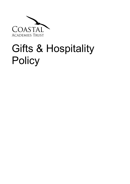

## Gifts & Hospitality **Policy**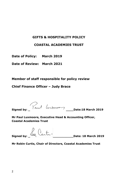## **GIFTS & HOSPITALITY POLICY**

## **COASTAL ACADEMIES TRUST**

**Date of Policy: March 2019**

**Date of Review: March 2021**

**Member of staff responsible for policy review**

**Chief Finance Officer – Judy Brace**

**Signed by: \_ \_\_\_\_Date:18 March 2019**

**Mr Paul Luxmoore, Executive Head & Accounting Officer, Coastal Academies Trust**

**Signed by: \_ \_\_\_\_\_\_\_\_\_\_\_Date: 18 March 2019**

**Mr Robin Curtis, Chair of Directors, Coastal Academies Trust**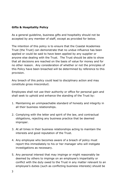## **Gifts & Hospitality Policy**

As a general guideline, business gifts and hospitality should not be accepted by any member of staff, except as provided for below.

The intention of this policy is to ensure that the Coastal Academies Trust (the Trust) can demonstrate that no undue influence has been applied or could be said to have been applied by any supplier or anyone else dealing with the Trust. The Trust should be able to show that all decisions are reached on the basis of value for money and for no other reason. Any consideration of whether or not the principles of this Policy have been breached will be determined by reference to this provision.

Any breach of this policy could lead to disciplinary action and may constitute gross misconduct.

Employees shall not use their authority or office for personal gain and shall seek to uphold and enhance the standing of the Trust by:

- 1. Maintaining an unimpeachable standard of honesty and integrity in all their business relationships.
- 2. Complying with the letter and spirit of the law, and contractual obligations, rejecting any business practice that be deemed improper.
- 3. At all times in their business relationships acting to maintain the interests and good reputation of the Trust.
- 4. Any employee who becomes aware of a breach of policy must report this immediately to his or her manager who will instigate investigations as necessary.
- 5. Any personal interest that may impinge or might reasonably be deemed by others to impinge on an employee's impartiality or conflict with the duty owed to the Trust in any matter relevant to an employee's duties (such as conflicting business interests) should be